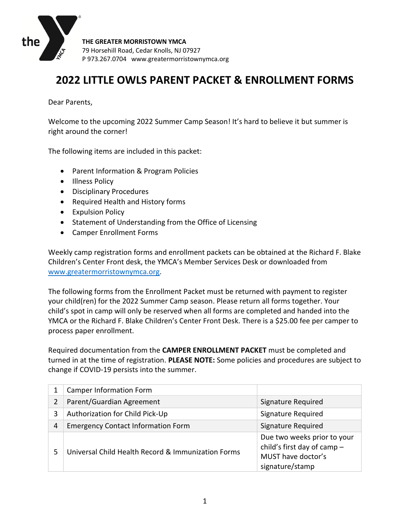

# **2022 LITTLE OWLS PARENT PACKET & ENROLLMENT FORMS**

Dear Parents,

Welcome to the upcoming 2022 Summer Camp Season! It's hard to believe it but summer is right around the corner!

The following items are included in this packet:

- Parent Information & Program Policies
- Illness Policy
- Disciplinary Procedures
- Required Health and History forms
- Expulsion Policy
- Statement of Understanding from the Office of Licensing
- Camper Enrollment Forms

Weekly camp registration forms and enrollment packets can be obtained at the Richard F. Blake Children's Center Front desk, the YMCA's Member Services Desk or downloaded from [www.greatermorristownymca.org.](http://www.greatermorristownymca.org/)

The following forms from the Enrollment Packet must be returned with payment to register your child(ren) for the 2022 Summer Camp season. Please return all forms together. Your child's spot in camp will only be reserved when all forms are completed and handed into the YMCA or the Richard F. Blake Children's Center Front Desk. There is a \$25.00 fee per camper to process paper enrollment.

Required documentation from the **CAMPER ENROLLMENT PACKET** must be completed and turned in at the time of registration. **PLEASE NOTE:** Some policies and procedures are subject to change if COVID-19 persists into the summer.

|   | <b>Camper Information Form</b>                     |                                                                                                       |
|---|----------------------------------------------------|-------------------------------------------------------------------------------------------------------|
|   | Parent/Guardian Agreement                          | Signature Required                                                                                    |
| 3 | Authorization for Child Pick-Up                    | Signature Required                                                                                    |
| 4 | <b>Emergency Contact Information Form</b>          | Signature Required                                                                                    |
|   | Universal Child Health Record & Immunization Forms | Due two weeks prior to your<br>child's first day of camp $-$<br>MUST have doctor's<br>signature/stamp |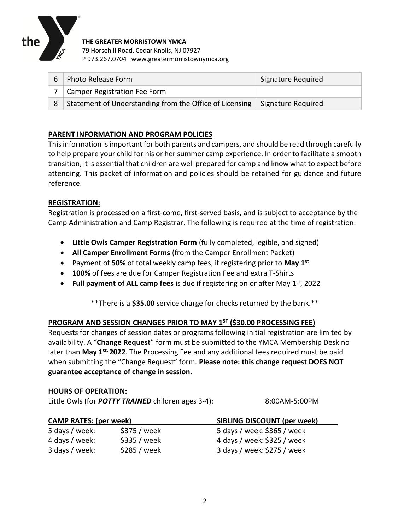

| Photo Release Form                                      | <b>Signature Required</b> |
|---------------------------------------------------------|---------------------------|
| Camper Registration Fee Form                            |                           |
| Statement of Understanding from the Office of Licensing | Signature Required        |

# **PARENT INFORMATION AND PROGRAM POLICIES**

This information is important for both parents and campers, and should be read through carefully to help prepare your child for his or her summer camp experience. In order to facilitate a smooth transition, it is essential that children are well prepared for camp and know what to expect before attending. This packet of information and policies should be retained for guidance and future reference.

#### **REGISTRATION:**

Registration is processed on a first-come, first-served basis, and is subject to acceptance by the Camp Administration and Camp Registrar. The following is required at the time of registration:

- **Little Owls Camper Registration Form** (fully completed, legible, and signed)
- **All Camper Enrollment Forms** (from the Camper Enrollment Packet)
- Payment of **50%** of total weekly camp fees, if registering prior to **May 1st** .
- **100%** of fees are due for Camper Registration Fee and extra T-Shirts
- Full payment of ALL camp fees is due if registering on or after May 1<sup>st</sup>, 2022

\*\*There is a **\$35.00** service charge for checks returned by the bank.\*\*

# **PROGRAM AND SESSION CHANGES PRIOR TO MAY 1ST (\$30.00 PROCESSING FEE)**

Requests for changes of session dates or programs following initial registration are limited by availability. A "**Change Request**" form must be submitted to the YMCA Membership Desk no later than **May 1st, 2022**. The Processing Fee and any additional fees required must be paid when submitting the "Change Request" form. **Please note: this change request DOES NOT guarantee acceptance of change in session.**

#### **HOURS OF OPERATION:**

Little Owls (for *POTTY TRAINED* children ages 3-4): 8:00AM-5:00PM

| <b>CAMP RATES: (per week)</b> |              | <b>SIBLING DISCOUNT (per week)</b> |
|-------------------------------|--------------|------------------------------------|
| 5 days / week:                | \$375 / week | 5 days / week: \$365 / week        |
| 4 days / week:                | \$335 / week | 4 days / week: \$325 / week        |
| 3 days / week:                | \$285 / week | 3 days / week: \$275 / week        |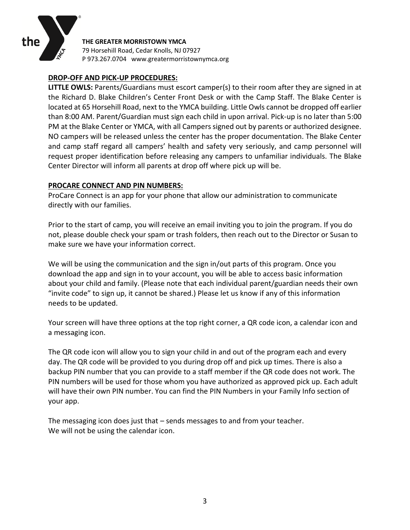

#### **DROP-OFF AND PICK-UP PROCEDURES:**

&

the

**LITTLE OWLS:** Parents/Guardians must escort camper(s) to their room after they are signed in at the Richard D. Blake Children's Center Front Desk or with the Camp Staff. The Blake Center is located at 65 Horsehill Road, next to the YMCA building. Little Owls cannot be dropped off earlier than 8:00 AM. Parent/Guardian must sign each child in upon arrival. Pick-up is no later than 5:00 PM at the Blake Center or YMCA, with all Campers signed out by parents or authorized designee. NO campers will be released unless the center has the proper documentation. The Blake Center and camp staff regard all campers' health and safety very seriously, and camp personnel will request proper identification before releasing any campers to unfamiliar individuals. The Blake Center Director will inform all parents at drop off where pick up will be.

# **PROCARE CONNECT AND PIN NUMBERS:**

ProCare Connect is an app for your phone that allow our administration to communicate directly with our families.

Prior to the start of camp, you will receive an email inviting you to join the program. If you do not, please double check your spam or trash folders, then reach out to the Director or Susan to make sure we have your information correct.

We will be using the communication and the sign in/out parts of this program. Once you download the app and sign in to your account, you will be able to access basic information about your child and family. (Please note that each individual parent/guardian needs their own "invite code" to sign up, it cannot be shared.) Please let us know if any of this information needs to be updated.

Your screen will have three options at the top right corner, a QR code icon, a calendar icon and a messaging icon.

The QR code icon will allow you to sign your child in and out of the program each and every day. The QR code will be provided to you during drop off and pick up times. There is also a backup PIN number that you can provide to a staff member if the QR code does not work. The PIN numbers will be used for those whom you have authorized as approved pick up. Each adult will have their own PIN number. You can find the PIN Numbers in your Family Info section of your app.

The messaging icon does just that – sends messages to and from your teacher. We will not be using the calendar icon.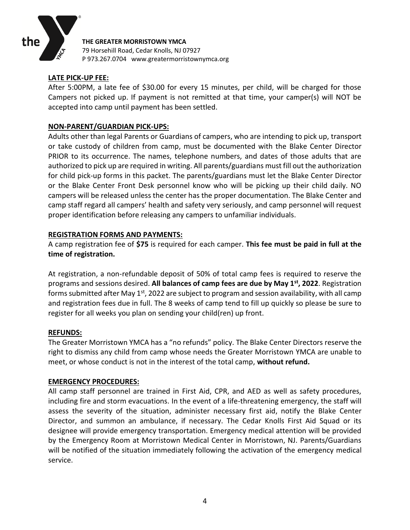

# **LATE PICK-UP FEE:**

After 5:00PM, a late fee of \$30.00 for every 15 minutes, per child, will be charged for those Campers not picked up. If payment is not remitted at that time, your camper(s) will NOT be accepted into camp until payment has been settled.

# **NON-PARENT/GUARDIAN PICK-UPS:**

Adults other than legal Parents or Guardians of campers, who are intending to pick up, transport or take custody of children from camp, must be documented with the Blake Center Director PRIOR to its occurrence. The names, telephone numbers, and dates of those adults that are authorized to pick up are required in writing. All parents/guardians must fill out the authorization for child pick-up forms in this packet. The parents/guardians must let the Blake Center Director or the Blake Center Front Desk personnel know who will be picking up their child daily. NO campers will be released unless the center has the proper documentation. The Blake Center and camp staff regard all campers' health and safety very seriously, and camp personnel will request proper identification before releasing any campers to unfamiliar individuals.

#### **REGISTRATION FORMS AND PAYMENTS:**

A camp registration fee of **\$75** is required for each camper. **This fee must be paid in full at the time of registration.**

At registration, a non-refundable deposit of 50% of total camp fees is required to reserve the programs and sessions desired. **All balances of camp fees are due by May 1st , 2022**. Registration forms submitted after May 1<sup>st</sup>, 2022 are subject to program and session availability, with all camp and registration fees due in full. The 8 weeks of camp tend to fill up quickly so please be sure to register for all weeks you plan on sending your child(ren) up front.

#### **REFUNDS:**

The Greater Morristown YMCA has a "no refunds" policy. The Blake Center Directors reserve the right to dismiss any child from camp whose needs the Greater Morristown YMCA are unable to meet, or whose conduct is not in the interest of the total camp, **without refund.**

#### **EMERGENCY PROCEDURES:**

All camp staff personnel are trained in First Aid, CPR, and AED as well as safety procedures, including fire and storm evacuations. In the event of a life-threatening emergency, the staff will assess the severity of the situation, administer necessary first aid, notify the Blake Center Director, and summon an ambulance, if necessary. The Cedar Knolls First Aid Squad or its designee will provide emergency transportation. Emergency medical attention will be provided by the Emergency Room at Morristown Medical Center in Morristown, NJ. Parents/Guardians will be notified of the situation immediately following the activation of the emergency medical service.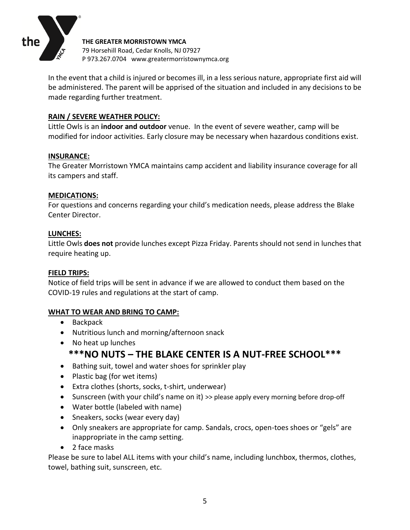

#### **THE GREATER MORRISTOWN YMCA**

79 Horsehill Road, Cedar Knolls, NJ 07927 P 973.267.0704 www.greatermorristownymca.org

In the event that a child is injured or becomes ill, in a less serious nature, appropriate first aid will be administered. The parent will be apprised of the situation and included in any decisions to be made regarding further treatment.

#### **RAIN / SEVERE WEATHER POLICY:**

Little Owls is an **indoor and outdoor** venue. In the event of severe weather, camp will be modified for indoor activities. Early closure may be necessary when hazardous conditions exist.

#### **INSURANCE:**

The Greater Morristown YMCA maintains camp accident and liability insurance coverage for all its campers and staff.

#### **MEDICATIONS:**

For questions and concerns regarding your child's medication needs, please address the Blake Center Director.

# **LUNCHES:**

Little Owls **does not** provide lunches except Pizza Friday. Parents should not send in lunches that require heating up.

#### **FIELD TRIPS:**

Notice of field trips will be sent in advance if we are allowed to conduct them based on the COVID-19 rules and regulations at the start of camp.

# **WHAT TO WEAR AND BRING TO CAMP:**

- Backpack
- Nutritious lunch and morning/afternoon snack
- No heat up lunches

# **\*\*\*NO NUTS – THE BLAKE CENTER IS A NUT-FREE SCHOOL\*\*\***

- Bathing suit, towel and water shoes for sprinkler play
- Plastic bag (for wet items)
- Extra clothes (shorts, socks, t-shirt, underwear)
- Sunscreen (with your child's name on it) >> please apply every morning before drop-off
- Water bottle (labeled with name)
- Sneakers, socks (wear every day)
- Only sneakers are appropriate for camp. Sandals, crocs, open-toes shoes or "gels" are inappropriate in the camp setting.
- 2 face masks

Please be sure to label ALL items with your child's name, including lunchbox, thermos, clothes, towel, bathing suit, sunscreen, etc.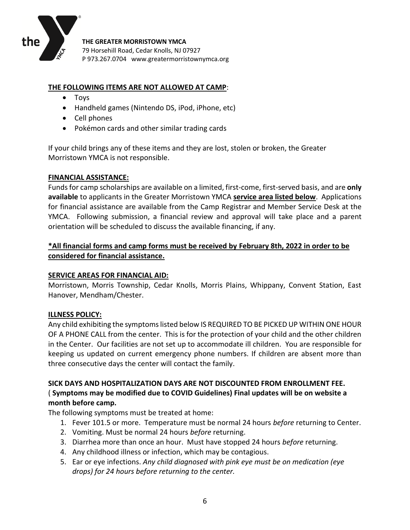

# **THE FOLLOWING ITEMS ARE NOT ALLOWED AT CAMP**:

- Toys
- Handheld games (Nintendo DS, iPod, iPhone, etc)
- Cell phones
- Pokémon cards and other similar trading cards

If your child brings any of these items and they are lost, stolen or broken, the Greater Morristown YMCA is not responsible.

#### **FINANCIAL ASSISTANCE:**

Funds for camp scholarships are available on a limited, first-come, first-served basis, and are **only available** to applicants in the Greater Morristown YMCA **service area listed below**. Applications for financial assistance are available from the Camp Registrar and Member Service Desk at the YMCA. Following submission, a financial review and approval will take place and a parent orientation will be scheduled to discuss the available financing, if any.

# **\*All financial forms and camp forms must be received by February 8th, 2022 in order to be considered for financial assistance.**

#### **SERVICE AREAS FOR FINANCIAL AID:**

Morristown, Morris Township, Cedar Knolls, Morris Plains, Whippany, Convent Station, East Hanover, Mendham/Chester.

#### **ILLNESS POLICY:**

Any child exhibiting the symptoms listed below IS REQUIRED TO BE PICKED UP WITHIN ONE HOUR OF A PHONE CALL from the center. This is for the protection of your child and the other children in the Center. Our facilities are not set up to accommodate ill children. You are responsible for keeping us updated on current emergency phone numbers. If children are absent more than three consecutive days the center will contact the family.

# **SICK DAYS AND HOSPITALIZATION DAYS ARE NOT DISCOUNTED FROM ENROLLMENT FEE.** ( **Symptoms may be modified due to COVID Guidelines) Final updates will be on website a month before camp.**

The following symptoms must be treated at home:

- 1. Fever 101.5 or more. Temperature must be normal 24 hours *before* returning to Center.
- 2. Vomiting. Must be normal 24 hours *before* returning.
- 3. Diarrhea more than once an hour. Must have stopped 24 hours *before* returning.
- 4. Any childhood illness or infection, which may be contagious.
- 5. Ear or eye infections. *Any child diagnosed with pink eye must be on medication (eye drops) for 24 hours before returning to the center.*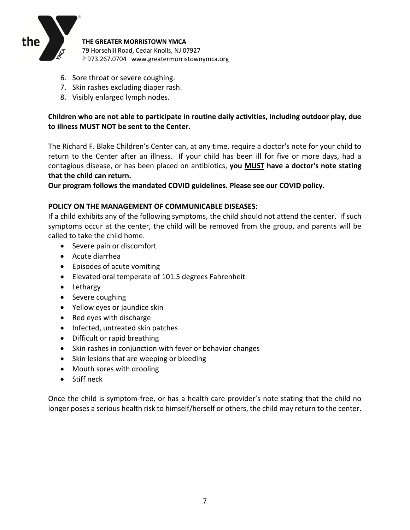

- 6. Sore throat or severe coughing.
- 7. Skin rashes excluding diaper rash.
- 8. Visibly enlarged lymph nodes.

# **Children who are not able to participate in routine daily activities, including outdoor play, due to illness MUST NOT be sent to the Center.**

The Richard F. Blake Children's Center can, at any time, require a doctor's note for your child to return to the Center after an illness. If your child has been ill for five or more days, had a contagious disease, or has been placed on antibiotics, **you MUST have a doctor's note stating that the child can return.** 

**Our program follows the mandated COVID guidelines. Please see our COVID policy.**

#### **POLICY ON THE MANAGEMENT OF COMMUNICABLE DISEASES:**

If a child exhibits any of the following symptoms, the child should not attend the center. If such symptoms occur at the center, the child will be removed from the group, and parents will be called to take the child home.

- Severe pain or discomfort
- Acute diarrhea
- Episodes of acute vomiting
- Elevated oral temperate of 101.5 degrees Fahrenheit
- Lethargy
- Severe coughing
- Yellow eyes or jaundice skin
- Red eyes with discharge
- Infected, untreated skin patches
- Difficult or rapid breathing
- Skin rashes in conjunction with fever or behavior changes
- Skin lesions that are weeping or bleeding
- Mouth sores with drooling
- Stiff neck

Once the child is symptom-free, or has a health care provider's note stating that the child no longer poses a serious health risk to himself/herself or others, the child may return to the center.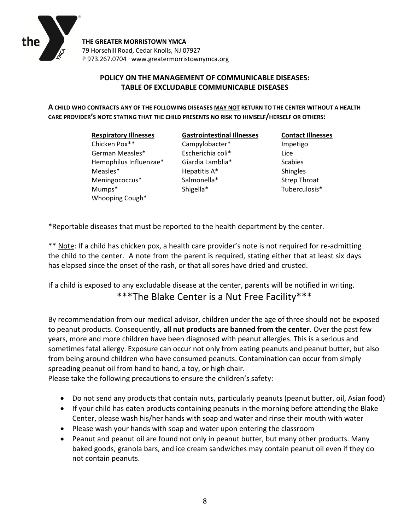

# **POLICY ON THE MANAGEMENT OF COMMUNICABLE DISEASES: TABLE OF EXCLUDABLE COMMUNICABLE DISEASES**

**A CHILD WHO CONTRACTS ANY OF THE FOLLOWING DISEASES MAY NOT RETURN TO THE CENTER WITHOUT A HEALTH CARE PROVIDER'S NOTE STATING THAT THE CHILD PRESENTS NO RISK TO HIMSELF/HERSELF OR OTHERS:**

**Respiratory Illnesses Gastrointestinal Illnesses Contact Illnesses**

Chicken Pox<sup>\*\*</sup> Campylobacter<sup>\*</sup> Impetigo German Measles\* Escherichia coli\* Lice Hemophilus Influenzae\* Giardia Lamblia\* Scabies Measles\* **Measles** Hepatitis A\* Shingles Meningococcus<sup>\*</sup> Salmonella<sup>\*</sup> Salmonella Strep Throat Mumps\* Shigella\* Shigella Tuberculosis\* Whooping Cough\*

\*Reportable diseases that must be reported to the health department by the center.

\*\* Note: If a child has chicken pox, a health care provider's note is not required for re-admitting the child to the center. A note from the parent is required, stating either that at least six days has elapsed since the onset of the rash, or that all sores have dried and crusted.

If a child is exposed to any excludable disease at the center, parents will be notified in writing. \*\*\*The Blake Center is a Nut Free Facility\*\*\*

By recommendation from our medical advisor, children under the age of three should not be exposed to peanut products. Consequently, **all nut products are banned from the center**. Over the past few years, more and more children have been diagnosed with peanut allergies. This is a serious and sometimes fatal allergy. Exposure can occur not only from eating peanuts and peanut butter, but also from being around children who have consumed peanuts. Contamination can occur from simply spreading peanut oil from hand to hand, a toy, or high chair.

Please take the following precautions to ensure the children's safety:

- Do not send any products that contain nuts, particularly peanuts (peanut butter, oil, Asian food)
- If your child has eaten products containing peanuts in the morning before attending the Blake Center, please wash his/her hands with soap and water and rinse their mouth with water
- Please wash your hands with soap and water upon entering the classroom
- Peanut and peanut oil are found not only in peanut butter, but many other products. Many baked goods, granola bars, and ice cream sandwiches may contain peanut oil even if they do not contain peanuts.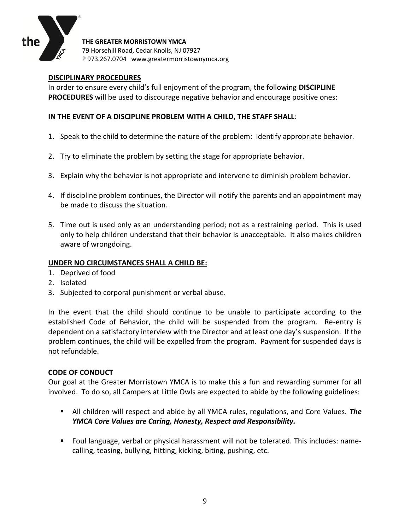

#### **DISCIPLINARY PROCEDURES**

In order to ensure every child's full enjoyment of the program, the following **DISCIPLINE PROCEDURES** will be used to discourage negative behavior and encourage positive ones:

# **IN THE EVENT OF A DISCIPLINE PROBLEM WITH A CHILD, THE STAFF SHALL**:

- 1. Speak to the child to determine the nature of the problem: Identify appropriate behavior.
- 2. Try to eliminate the problem by setting the stage for appropriate behavior.
- 3. Explain why the behavior is not appropriate and intervene to diminish problem behavior.
- 4. If discipline problem continues, the Director will notify the parents and an appointment may be made to discuss the situation.
- 5. Time out is used only as an understanding period; not as a restraining period. This is used only to help children understand that their behavior is unacceptable. It also makes children aware of wrongdoing.

#### **UNDER NO CIRCUMSTANCES SHALL A CHILD BE:**

- 1. Deprived of food
- 2. Isolated
- 3. Subjected to corporal punishment or verbal abuse.

In the event that the child should continue to be unable to participate according to the established Code of Behavior, the child will be suspended from the program. Re-entry is dependent on a satisfactory interview with the Director and at least one day's suspension. If the problem continues, the child will be expelled from the program. Payment for suspended days is not refundable.

#### **CODE OF CONDUCT**

Our goal at the Greater Morristown YMCA is to make this a fun and rewarding summer for all involved. To do so, all Campers at Little Owls are expected to abide by the following guidelines:

- All children will respect and abide by all YMCA rules, regulations, and Core Values. **The** *YMCA Core Values are Caring, Honesty, Respect and Responsibility.*
- Foul language, verbal or physical harassment will not be tolerated. This includes: namecalling, teasing, bullying, hitting, kicking, biting, pushing, etc.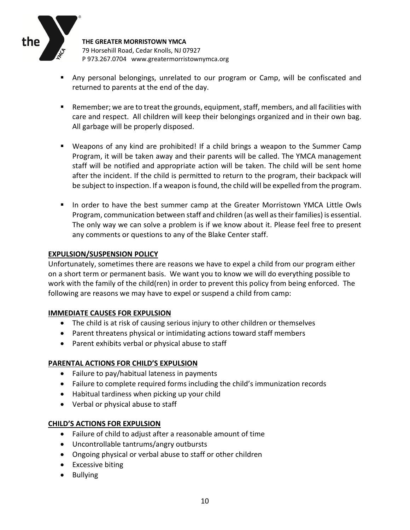

- Any personal belongings, unrelated to our program or Camp, will be confiscated and returned to parents at the end of the day.
- Remember; we are to treat the grounds, equipment, staff, members, and all facilities with care and respect. All children will keep their belongings organized and in their own bag. All garbage will be properly disposed.
- Weapons of any kind are prohibited! If a child brings a weapon to the Summer Camp Program, it will be taken away and their parents will be called. The YMCA management staff will be notified and appropriate action will be taken. The child will be sent home after the incident. If the child is permitted to return to the program, their backpack will be subject to inspection. If a weapon is found, the child will be expelled from the program.
- In order to have the best summer camp at the Greater Morristown YMCA Little Owls Program, communication between staff and children (as well as their families) is essential. The only way we can solve a problem is if we know about it. Please feel free to present any comments or questions to any of the Blake Center staff.

# **EXPULSION/SUSPENSION POLICY**

Unfortunately, sometimes there are reasons we have to expel a child from our program either on a short term or permanent basis. We want you to know we will do everything possible to work with the family of the child(ren) in order to prevent this policy from being enforced. The following are reasons we may have to expel or suspend a child from camp:

# **IMMEDIATE CAUSES FOR EXPULSION**

- The child is at risk of causing serious injury to other children or themselves
- Parent threatens physical or intimidating actions toward staff members
- Parent exhibits verbal or physical abuse to staff

# **PARENTAL ACTIONS FOR CHILD'S EXPULSION**

- Failure to pay/habitual lateness in payments
- Failure to complete required forms including the child's immunization records
- Habitual tardiness when picking up your child
- Verbal or physical abuse to staff

# **CHILD'S ACTIONS FOR EXPULSION**

- Failure of child to adjust after a reasonable amount of time
- Uncontrollable tantrums/angry outbursts
- Ongoing physical or verbal abuse to staff or other children
- Excessive biting
- Bullying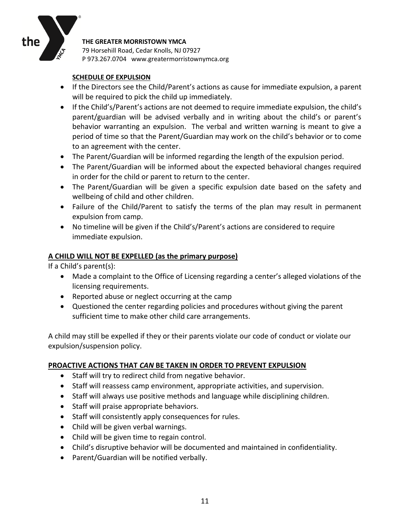

#### **THE GREATER MORRISTOWN YMCA**

79 Horsehill Road, Cedar Knolls, NJ 07927 P 973.267.0704 www.greatermorristownymca.org

#### **SCHEDULE OF EXPULSION**

- If the Directors see the Child/Parent's actions as cause for immediate expulsion, a parent will be required to pick the child up immediately.
- If the Child's/Parent's actions are not deemed to require immediate expulsion, the child's parent/guardian will be advised verbally and in writing about the child's or parent's behavior warranting an expulsion. The verbal and written warning is meant to give a period of time so that the Parent/Guardian may work on the child's behavior or to come to an agreement with the center.
- The Parent/Guardian will be informed regarding the length of the expulsion period.
- The Parent/Guardian will be informed about the expected behavioral changes required in order for the child or parent to return to the center.
- The Parent/Guardian will be given a specific expulsion date based on the safety and wellbeing of child and other children.
- Failure of the Child/Parent to satisfy the terms of the plan may result in permanent expulsion from camp.
- No timeline will be given if the Child's/Parent's actions are considered to require immediate expulsion.

#### **A CHILD WILL NOT BE EXPELLED (as the primary purpose)**

If a Child's parent(s):

- Made a complaint to the Office of Licensing regarding a center's alleged violations of the licensing requirements.
- Reported abuse or neglect occurring at the camp
- Questioned the center regarding policies and procedures without giving the parent sufficient time to make other child care arrangements.

A child may still be expelled if they or their parents violate our code of conduct or violate our expulsion/suspension policy.

#### **PROACTIVE ACTIONS THAT** *CAN* **BE TAKEN IN ORDER TO PREVENT EXPULSION**

- Staff will try to redirect child from negative behavior.
- Staff will reassess camp environment, appropriate activities, and supervision.
- Staff will always use positive methods and language while disciplining children.
- Staff will praise appropriate behaviors.
- Staff will consistently apply consequences for rules.
- Child will be given verbal warnings.
- Child will be given time to regain control.
- Child's disruptive behavior will be documented and maintained in confidentiality.
- Parent/Guardian will be notified verbally.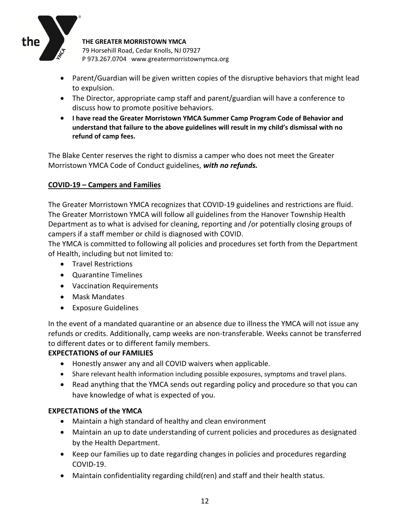

- Parent/Guardian will be given written copies of the disruptive behaviors that might lead to expulsion.
- The Director, appropriate camp staff and parent/guardian will have a conference to discuss how to promote positive behaviors.
- **I have read the Greater Morristown YMCA Summer Camp Program Code of Behavior and understand that failure to the above guidelines will result in my child's dismissal with no refund of camp fees.**

The Blake Center reserves the right to dismiss a camper who does not meet the Greater Morristown YMCA Code of Conduct guidelines, *with no refunds.*

# **COVID-19 – Campers and Families**

The Greater Morristown YMCA recognizes that COVID-19 guidelines and restrictions are fluid. The Greater Morristown YMCA will follow all guidelines from the Hanover Township Health Department as to what is advised for cleaning, reporting and /or potentially closing groups of campers if a staff member or child is diagnosed with COVID.

The YMCA is committed to following all policies and procedures set forth from the Department of Health, including but not limited to:

- Travel Restrictions
- Quarantine Timelines
- Vaccination Requirements
- Mask Mandates
- Exposure Guidelines

In the event of a mandated quarantine or an absence due to illness the YMCA will not issue any refunds or credits. Additionally, camp weeks are non-transferable. Weeks cannot be transferred to different dates or to different family members.

# **EXPECTATIONS of our FAMILIES**

- Honestly answer any and all COVID waivers when applicable.
- Share relevant health information including possible exposures, symptoms and travel plans.
- Read anything that the YMCA sends out regarding policy and procedure so that you can have knowledge of what is expected of you.

# **EXPECTATIONS of the YMCA**

- Maintain a high standard of healthy and clean environment
- Maintain an up to date understanding of current policies and procedures as designated by the Health Department.
- Keep our families up to date regarding changes in policies and procedures regarding COVID-19.
- Maintain confidentiality regarding child(ren) and staff and their health status.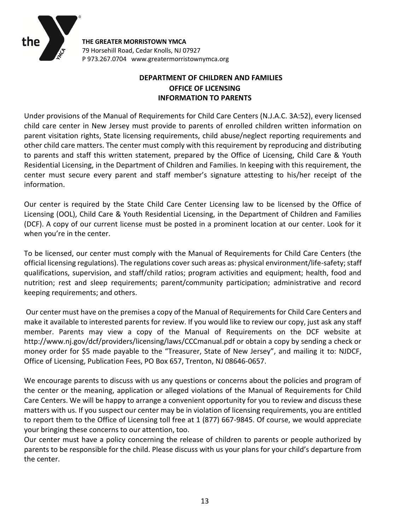

# **DEPARTMENT OF CHILDREN AND FAMILIES OFFICE OF LICENSING INFORMATION TO PARENTS**

Under provisions of the Manual of Requirements for Child Care Centers (N.J.A.C. 3A:52), every licensed child care center in New Jersey must provide to parents of enrolled children written information on parent visitation rights, State licensing requirements, child abuse/neglect reporting requirements and other child care matters. The center must comply with this requirement by reproducing and distributing to parents and staff this written statement, prepared by the Office of Licensing, Child Care & Youth Residential Licensing, in the Department of Children and Families. In keeping with this requirement, the center must secure every parent and staff member's signature attesting to his/her receipt of the information.

Our center is required by the State Child Care Center Licensing law to be licensed by the Office of Licensing (OOL), Child Care & Youth Residential Licensing, in the Department of Children and Families (DCF). A copy of our current license must be posted in a prominent location at our center. Look for it when you're in the center.

To be licensed, our center must comply with the Manual of Requirements for Child Care Centers (the official licensing regulations). The regulations cover such areas as: physical environment/life-safety; staff qualifications, supervision, and staff/child ratios; program activities and equipment; health, food and nutrition; rest and sleep requirements; parent/community participation; administrative and record keeping requirements; and others.

Our center must have on the premises a copy of the Manual of Requirements for Child Care Centers and make it available to interested parents for review. If you would like to review our copy, just ask any staff member. Parents may view a copy of the Manual of Requirements on the DCF website at http://www.nj.gov/dcf/providers/licensing/laws/CCCmanual.pdf or obtain a copy by sending a check or money order for \$5 made payable to the "Treasurer, State of New Jersey", and mailing it to: NJDCF, Office of Licensing, Publication Fees, PO Box 657, Trenton, NJ 08646-0657.

We encourage parents to discuss with us any questions or concerns about the policies and program of the center or the meaning, application or alleged violations of the Manual of Requirements for Child Care Centers. We will be happy to arrange a convenient opportunity for you to review and discuss these matters with us. If you suspect our center may be in violation of licensing requirements, you are entitled to report them to the Office of Licensing toll free at 1 (877) 667-9845. Of course, we would appreciate your bringing these concerns to our attention, too.

Our center must have a policy concerning the release of children to parents or people authorized by parents to be responsible for the child. Please discuss with us your plans for your child's departure from the center.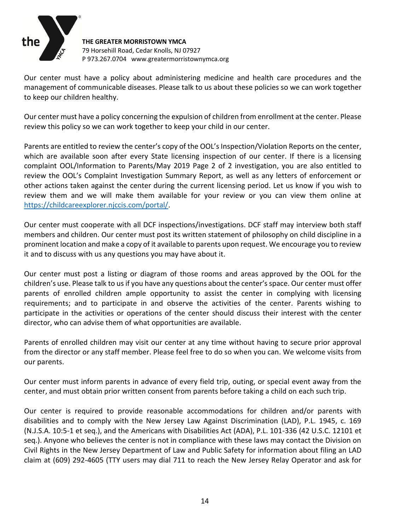

Our center must have a policy about administering medicine and health care procedures and the management of communicable diseases. Please talk to us about these policies so we can work together to keep our children healthy.

Our center must have a policy concerning the expulsion of children from enrollment at the center. Please review this policy so we can work together to keep your child in our center.

Parents are entitled to review the center's copy of the OOL's Inspection/Violation Reports on the center, which are available soon after every State licensing inspection of our center. If there is a licensing complaint OOL/Information to Parents/May 2019 Page 2 of 2 investigation, you are also entitled to review the OOL's Complaint Investigation Summary Report, as well as any letters of enforcement or other actions taken against the center during the current licensing period. Let us know if you wish to review them and we will make them available for your review or you can view them online at [https://childcareexplorer.njccis.com/portal/.](https://childcareexplorer.njccis.com/portal/)

Our center must cooperate with all DCF inspections/investigations. DCF staff may interview both staff members and children. Our center must post its written statement of philosophy on child discipline in a prominent location and make a copy of it available to parents upon request. We encourage you to review it and to discuss with us any questions you may have about it.

Our center must post a listing or diagram of those rooms and areas approved by the OOL for the children's use. Please talk to us if you have any questions about the center's space. Our center must offer parents of enrolled children ample opportunity to assist the center in complying with licensing requirements; and to participate in and observe the activities of the center. Parents wishing to participate in the activities or operations of the center should discuss their interest with the center director, who can advise them of what opportunities are available.

Parents of enrolled children may visit our center at any time without having to secure prior approval from the director or any staff member. Please feel free to do so when you can. We welcome visits from our parents.

Our center must inform parents in advance of every field trip, outing, or special event away from the center, and must obtain prior written consent from parents before taking a child on each such trip.

Our center is required to provide reasonable accommodations for children and/or parents with disabilities and to comply with the New Jersey Law Against Discrimination (LAD), P.L. 1945, c. 169 (N.J.S.A. 10:5-1 et seq.), and the Americans with Disabilities Act (ADA), P.L. 101-336 (42 U.S.C. 12101 et seq.). Anyone who believes the center is not in compliance with these laws may contact the Division on Civil Rights in the New Jersey Department of Law and Public Safety for information about filing an LAD claim at (609) 292-4605 (TTY users may dial 711 to reach the New Jersey Relay Operator and ask for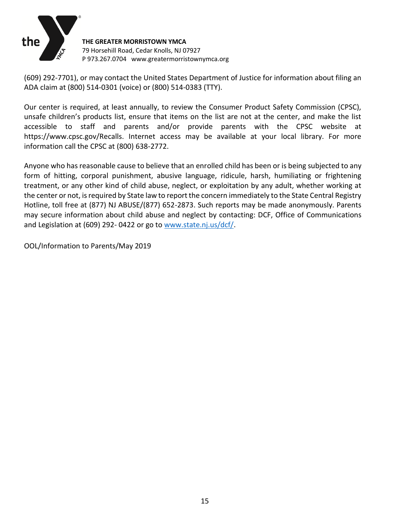

(609) 292-7701), or may contact the United States Department of Justice for information about filing an ADA claim at (800) 514-0301 (voice) or (800) 514-0383 (TTY).

Our center is required, at least annually, to review the Consumer Product Safety Commission (CPSC), unsafe children's products list, ensure that items on the list are not at the center, and make the list accessible to staff and parents and/or provide parents with the CPSC website at https://www.cpsc.gov/Recalls. Internet access may be available at your local library. For more information call the CPSC at (800) 638-2772.

Anyone who has reasonable cause to believe that an enrolled child has been or is being subjected to any form of hitting, corporal punishment, abusive language, ridicule, harsh, humiliating or frightening treatment, or any other kind of child abuse, neglect, or exploitation by any adult, whether working at the center or not, is required by State law to report the concern immediately to the State Central Registry Hotline, toll free at (877) NJ ABUSE/(877) 652-2873. Such reports may be made anonymously. Parents may secure information about child abuse and neglect by contacting: DCF, Office of Communications and Legislation at (609) 292- 0422 or go to [www.state.nj.us/dcf/.](http://www.state.nj.us/dcf/)

OOL/Information to Parents/May 2019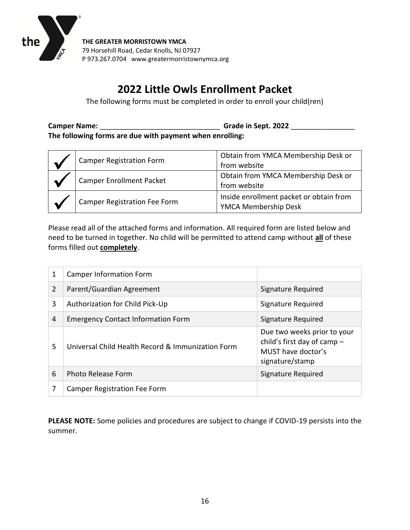

# **2022 Little Owls Enrollment Packet**

The following forms must be completed in order to enroll your child(ren)

| <b>Camper Name:</b>                                      | Grade in Sept. 2022 |
|----------------------------------------------------------|---------------------|
| The following forms are due with payment when enrolling: |                     |

| <b>Camper Registration Form</b> | Obtain from YMCA Membership Desk or<br>from website             |
|---------------------------------|-----------------------------------------------------------------|
| <b>Camper Enrollment Packet</b> | Obtain from YMCA Membership Desk or<br>from website             |
| Camper Registration Fee Form    | Inside enrollment packet or obtain from<br>YMCA Membership Desk |

Please read all of the attached forms and information. All required form are listed below and need to be turned in together. No child will be permitted to attend camp without **all** of these forms filled out **completely**.

| 1 | <b>Camper Information Form</b>                    |                                                                                                     |
|---|---------------------------------------------------|-----------------------------------------------------------------------------------------------------|
| 2 | Parent/Guardian Agreement                         | Signature Required                                                                                  |
| 3 | Authorization for Child Pick-Up                   | Signature Required                                                                                  |
| 4 | <b>Emergency Contact Information Form</b>         | Signature Required                                                                                  |
| 5 | Universal Child Health Record & Immunization Form | Due two weeks prior to your<br>child's first day of camp -<br>MUST have doctor's<br>signature/stamp |
| 6 | <b>Photo Release Form</b>                         | Signature Required                                                                                  |
|   | Camper Registration Fee Form                      |                                                                                                     |

**PLEASE NOTE:** Some policies and procedures are subject to change if COVID-19 persists into the summer.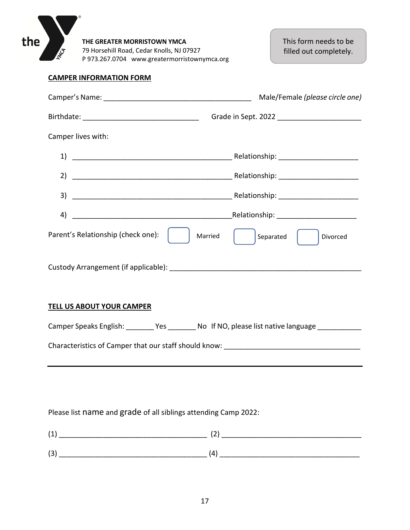| MAGA | THE GREATER MORRISTOWN YMCA<br>79 Horsehill Road, Cedar Knolls, NJ 07927<br>P 973.267.0704 www.greatermorristownymca.org | This form needs to be<br>filled out completely.                                                   |
|------|--------------------------------------------------------------------------------------------------------------------------|---------------------------------------------------------------------------------------------------|
|      | <b>CAMPER INFORMATION FORM</b>                                                                                           |                                                                                                   |
|      |                                                                                                                          | Male/Female (please circle one)                                                                   |
|      |                                                                                                                          | Grade in Sept. 2022 _________________________                                                     |
|      | Camper lives with:                                                                                                       |                                                                                                   |
|      |                                                                                                                          |                                                                                                   |
|      |                                                                                                                          |                                                                                                   |
|      |                                                                                                                          |                                                                                                   |
| 4)   |                                                                                                                          |                                                                                                   |
|      | Parent's Relationship (check one):                                                                                       | Married<br>Separated<br>Divorced                                                                  |
|      |                                                                                                                          |                                                                                                   |
|      | <b>TELL US ABOUT YOUR CAMPER</b>                                                                                         |                                                                                                   |
|      |                                                                                                                          | Camper Speaks English: _________ Yes ________ No If NO, please list native language _____________ |
|      |                                                                                                                          |                                                                                                   |

Please list name and grade of all siblings attending Camp 2022: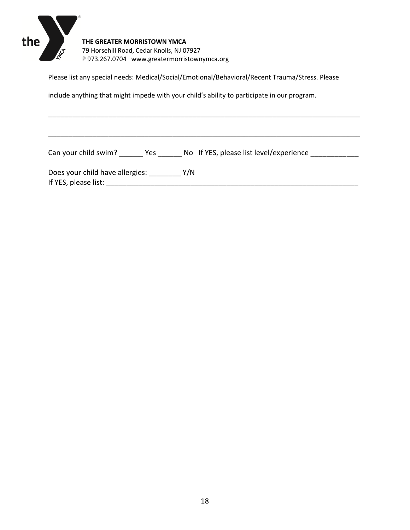

Please list any special needs: Medical/Social/Emotional/Behavioral/Recent Trauma/Stress. Please

\_\_\_\_\_\_\_\_\_\_\_\_\_\_\_\_\_\_\_\_\_\_\_\_\_\_\_\_\_\_\_\_\_\_\_\_\_\_\_\_\_\_\_\_\_\_\_\_\_\_\_\_\_\_\_\_\_\_\_\_\_\_\_\_\_\_\_\_\_\_\_\_\_\_\_\_\_\_

\_\_\_\_\_\_\_\_\_\_\_\_\_\_\_\_\_\_\_\_\_\_\_\_\_\_\_\_\_\_\_\_\_\_\_\_\_\_\_\_\_\_\_\_\_\_\_\_\_\_\_\_\_\_\_\_\_\_\_\_\_\_\_\_\_\_\_\_\_\_\_\_\_\_\_\_\_\_

include anything that might impede with your child's ability to participate in our program.

Can your child swim? \_\_\_\_\_\_\_ Yes \_\_\_\_\_\_\_ No If YES, please list level/experience \_\_\_\_\_\_\_\_\_\_\_\_

Does your child have allergies: \_\_\_\_\_\_\_\_ Y/N If YES, please list: \_\_\_\_\_\_\_\_\_\_\_\_\_\_\_\_\_\_\_\_\_\_\_\_\_\_\_\_\_\_\_\_\_\_\_\_\_\_\_\_\_\_\_\_\_\_\_\_\_\_\_\_\_\_\_\_\_\_\_\_\_\_\_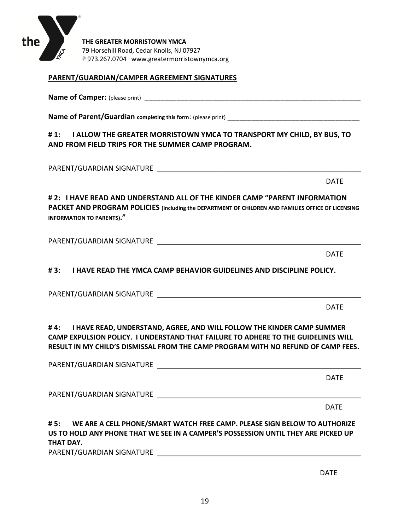

DATE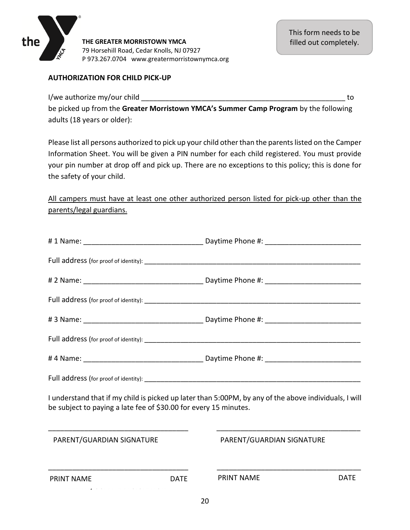

# **AUTHORIZATION FOR CHILD PICK-UP**

I/we authorize my/our child **the contract of the contract of the contract of the contract of the contract of the contract of the contract of the contract of the contract of the contract of the contract of the contract of t** 

be picked up from the **Greater Morristown YMCA's Summer Camp Program** by the following adults (18 years or older):

Please list all persons authorized to pick up your child other than the parents listed on the Camper Information Sheet. You will be given a PIN number for each child registered. You must provide your pin number at drop off and pick up. There are no exceptions to this policy; this is done for the safety of your child.

All campers must have at least one other authorized person listed for pick-up other than the parents/legal guardians.

| be subject to paying a late fee of \$30.00 for every 15 minutes. | I understand that if my child is picked up later than 5:00PM, by any of the above individuals, I will |
|------------------------------------------------------------------|-------------------------------------------------------------------------------------------------------|
| PARENT/GUARDIAN SIGNATURE                                        | PARENT/GUARDIAN SIGNATURE                                                                             |
| <b>PRINT NAME</b><br><b>DATE</b>                                 | <b>PRINT NAME</b><br><b>DATE</b>                                                                      |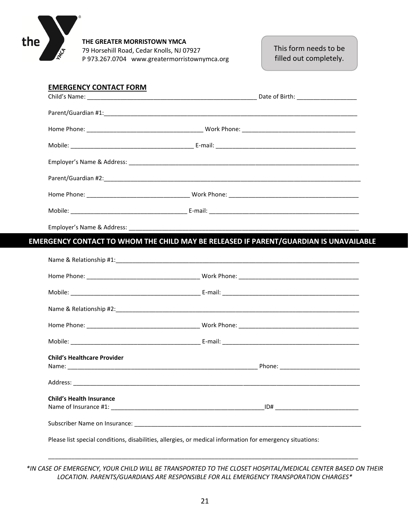

**THE GREATER MORRISTOWN YMCA**

79 Horsehill Road, Cedar Knolls, NJ 07927 P 973.267.0704 www.greatermorristownymca.org This form needs to be filled out completely.

|                                    | EMERGENCY CONTACT TO WHOM THE CHILD MAY BE RELEASED IF PARENT/GUARDIAN IS UNAVAILABLE |
|------------------------------------|---------------------------------------------------------------------------------------|
|                                    |                                                                                       |
|                                    |                                                                                       |
|                                    |                                                                                       |
|                                    |                                                                                       |
|                                    |                                                                                       |
|                                    |                                                                                       |
|                                    |                                                                                       |
| <b>Child's Healthcare Provider</b> |                                                                                       |
|                                    |                                                                                       |
| Address:                           |                                                                                       |
| <b>Child's Health Insurance</b>    |                                                                                       |
|                                    |                                                                                       |

*\*IN CASE OF EMERGENCY, YOUR CHILD WILL BE TRANSPORTED TO THE CLOSET HOSPITAL/MEDICAL CENTER BASED ON THEIR LOCATION. PARENTS/GUARDIANS ARE RESPONSIBLE FOR ALL EMERGENCY TRANSPORATION CHARGES\**

\_\_\_\_\_\_\_\_\_\_\_\_\_\_\_\_\_\_\_\_\_\_\_\_\_\_\_\_\_\_\_\_\_\_\_\_\_\_\_\_\_\_\_\_\_\_\_\_\_\_\_\_\_\_\_\_\_\_\_\_\_\_\_\_\_\_\_\_\_\_\_\_\_\_\_\_\_\_\_\_\_\_\_\_\_\_\_\_\_\_\_\_\_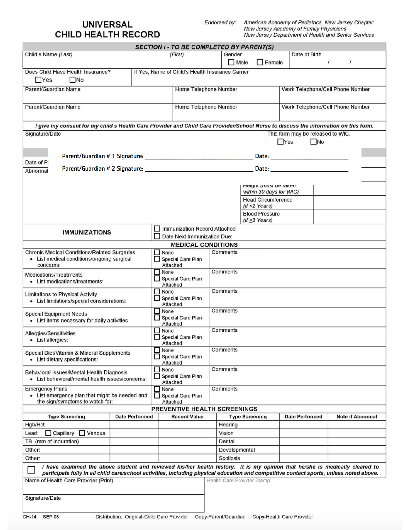# **UNIVERSAL CHILD HEALTH RECORD**

Endorsed by:

American Academy of Pediatrics, New Jersey Chapter<br>New Jersey Academy of Family Physicians<br>New Jersey Department of Health and Senior Services

| <b>SECTION I - TO BE COMPLETED BY PARENT(S)</b>                                                                                         |                       |                                                     |                              |                                                       |                                                                                                                                                                                                                                |           |                                  |
|-----------------------------------------------------------------------------------------------------------------------------------------|-----------------------|-----------------------------------------------------|------------------------------|-------------------------------------------------------|--------------------------------------------------------------------------------------------------------------------------------------------------------------------------------------------------------------------------------|-----------|----------------------------------|
| Child s Name (Last)                                                                                                                     |                       | (First)                                             | Gender                       |                                                       | Date of Birth                                                                                                                                                                                                                  |           |                                  |
|                                                                                                                                         |                       |                                                     |                              | $\Box$ Male<br>$\Box$ Female                          |                                                                                                                                                                                                                                |           | $\prime$                         |
| Does Child Have Health Insurance?<br>If Yes, Name of Child's Health Insurance Carrier                                                   |                       |                                                     |                              |                                                       |                                                                                                                                                                                                                                |           |                                  |
| $\square$ No<br>$\Box$ Yes                                                                                                              |                       |                                                     |                              |                                                       |                                                                                                                                                                                                                                |           |                                  |
| Parent/Guardian Name                                                                                                                    |                       |                                                     | <b>Home Telephone Number</b> |                                                       |                                                                                                                                                                                                                                |           | Work Telephone/Cell Phone Number |
|                                                                                                                                         |                       |                                                     |                              |                                                       |                                                                                                                                                                                                                                |           |                                  |
| Parent/Guardian Name                                                                                                                    |                       |                                                     | Home Telephone Number        |                                                       |                                                                                                                                                                                                                                |           | Work Telephone/Cell Phone Number |
|                                                                                                                                         |                       |                                                     |                              |                                                       |                                                                                                                                                                                                                                |           |                                  |
| I give my consent for my child s Health Care Provider and Child Care Provider/School Nurse to discuss the information on this form.     |                       |                                                     |                              |                                                       |                                                                                                                                                                                                                                |           |                                  |
| Signature/Date                                                                                                                          |                       |                                                     |                              |                                                       | This form may be released to WIC.                                                                                                                                                                                              |           |                                  |
|                                                                                                                                         |                       |                                                     |                              |                                                       | $\Box$ Yes                                                                                                                                                                                                                     | $\Box$ No |                                  |
|                                                                                                                                         |                       |                                                     |                              |                                                       |                                                                                                                                                                                                                                |           |                                  |
| Date of P                                                                                                                               |                       |                                                     |                              |                                                       |                                                                                                                                                                                                                                |           |                                  |
| Abnormal                                                                                                                                |                       |                                                     |                              |                                                       | Date: the contract of the contract of the contract of the contract of the contract of the contract of the contract of the contract of the contract of the contract of the contract of the contract of the contract of the cont |           |                                  |
|                                                                                                                                         |                       |                                                     |                              |                                                       |                                                                                                                                                                                                                                |           |                                  |
|                                                                                                                                         |                       |                                                     |                              | <b>HEIGHT (HINDI DE LANGH</b>                         |                                                                                                                                                                                                                                |           |                                  |
|                                                                                                                                         |                       |                                                     |                              | within 30 days for WIC)                               |                                                                                                                                                                                                                                |           |                                  |
|                                                                                                                                         |                       |                                                     |                              | <b>Head Circumference</b><br>$(if < 2 \text{ Years})$ |                                                                                                                                                                                                                                |           |                                  |
|                                                                                                                                         |                       |                                                     |                              | <b>Blood Pressure</b>                                 |                                                                                                                                                                                                                                |           |                                  |
|                                                                                                                                         |                       |                                                     |                              | $(if \geq 3 \text{ Years})$                           |                                                                                                                                                                                                                                |           |                                  |
| <b>IMMUNIZATIONS</b>                                                                                                                    |                       | Immunization Record Attached                        |                              |                                                       |                                                                                                                                                                                                                                |           |                                  |
|                                                                                                                                         |                       | Date Next Immunization Due:                         |                              |                                                       |                                                                                                                                                                                                                                |           |                                  |
|                                                                                                                                         |                       | <b>MEDICAL CONDITIONS</b>                           |                              |                                                       |                                                                                                                                                                                                                                |           |                                  |
| <b>Chronic Medical Conditions/Related Surgeries</b><br>• List medical conditions/ongoing surgical                                       |                       | $\Box$ None                                         | Comments                     |                                                       |                                                                                                                                                                                                                                |           |                                  |
| concerns:                                                                                                                               |                       | Special Care Plan<br>Attached                       |                              |                                                       |                                                                                                                                                                                                                                |           |                                  |
| <b>Medications/Treatments</b>                                                                                                           |                       | $\Box$ None                                         | Comments                     |                                                       |                                                                                                                                                                                                                                |           |                                  |
| • List medications/treatments:                                                                                                          |                       | Special Care Plan<br>Attached                       |                              |                                                       |                                                                                                                                                                                                                                |           |                                  |
|                                                                                                                                         |                       | $\Box$ None                                         | Comments                     |                                                       |                                                                                                                                                                                                                                |           |                                  |
| Limitations to Physical Activity<br>• List limitations/special considerations:                                                          |                       | Special Care Plan                                   |                              |                                                       |                                                                                                                                                                                                                                |           |                                  |
|                                                                                                                                         |                       | Attached<br>$\Box$ None                             | Comments                     |                                                       |                                                                                                                                                                                                                                |           |                                  |
| <b>Special Equipment Needs</b><br>• List items necessary for daily activities                                                           |                       | Special Care Plan                                   |                              |                                                       |                                                                                                                                                                                                                                |           |                                  |
|                                                                                                                                         |                       | Attached                                            |                              |                                                       |                                                                                                                                                                                                                                |           |                                  |
| Allergies/Sensitivities                                                                                                                 |                       | $\Box$ None<br><b>Special Care Plan</b><br>H        | Comments                     |                                                       |                                                                                                                                                                                                                                |           |                                  |
| • List allergies:                                                                                                                       |                       | Attached                                            |                              |                                                       |                                                                                                                                                                                                                                |           |                                  |
| Special Diet/Vitamin & Mineral Supplements                                                                                              |                       | None<br>Ш                                           | Comments                     |                                                       |                                                                                                                                                                                                                                |           |                                  |
| • List dietary specifications:                                                                                                          |                       | П<br><b>Special Care Plan</b><br>Attached           |                              |                                                       |                                                                                                                                                                                                                                |           |                                  |
| Behavioral Issues/Mental Health Diagnosis                                                                                               |                       | None<br>LI                                          | Comments                     |                                                       |                                                                                                                                                                                                                                |           |                                  |
| • List behavioral/mental health issues/concerns:                                                                                        |                       | <b>Special Care Plan</b><br>Attached                |                              |                                                       |                                                                                                                                                                                                                                |           |                                  |
| <b>Emergency Plans</b>                                                                                                                  |                       | $\Box$ None                                         | Comments                     |                                                       |                                                                                                                                                                                                                                |           |                                  |
| • List emergency plan that might be needed and                                                                                          |                       | Special Care Plan                                   |                              |                                                       |                                                                                                                                                                                                                                |           |                                  |
| the sign/symptoms to watch for:                                                                                                         |                       | Attached                                            |                              |                                                       |                                                                                                                                                                                                                                |           |                                  |
| <b>Type Screening</b>                                                                                                                   | <b>Date Performed</b> | PREVENTIVE HEALTH SCREENINGS<br><b>Record Value</b> |                              | <b>Type Screening</b>                                 | <b>Date Performed</b>                                                                                                                                                                                                          |           | <b>Note if Abnormal</b>          |
| Hgb/Hct                                                                                                                                 |                       |                                                     | Hearing                      |                                                       |                                                                                                                                                                                                                                |           |                                  |
| $\Box$ Venous<br>$\Box$ Capillary<br>Lead:                                                                                              |                       |                                                     | Vision                       |                                                       |                                                                                                                                                                                                                                |           |                                  |
| TB (mm of Induration)                                                                                                                   |                       |                                                     | Dental                       |                                                       |                                                                                                                                                                                                                                |           |                                  |
| Other:                                                                                                                                  |                       |                                                     | Developmental                |                                                       |                                                                                                                                                                                                                                |           |                                  |
| Other:                                                                                                                                  |                       |                                                     | <b>Scoliosis</b>             |                                                       |                                                                                                                                                                                                                                |           |                                  |
| I have examined the above student and reviewed his/her health history. It is my opinion that he/she is medically cleared to             |                       |                                                     |                              |                                                       |                                                                                                                                                                                                                                |           |                                  |
| participate fully in all child care/school activities, including physical education and competitive contact sports, unless noted above. |                       |                                                     |                              |                                                       |                                                                                                                                                                                                                                |           |                                  |
| Name of Health Care Provider (Print)                                                                                                    |                       |                                                     |                              | Health Care Provider Stamp:                           |                                                                                                                                                                                                                                |           |                                  |
|                                                                                                                                         |                       |                                                     |                              |                                                       |                                                                                                                                                                                                                                |           |                                  |
| Signature/Date                                                                                                                          |                       |                                                     |                              |                                                       |                                                                                                                                                                                                                                |           |                                  |
|                                                                                                                                         |                       |                                                     |                              |                                                       |                                                                                                                                                                                                                                |           |                                  |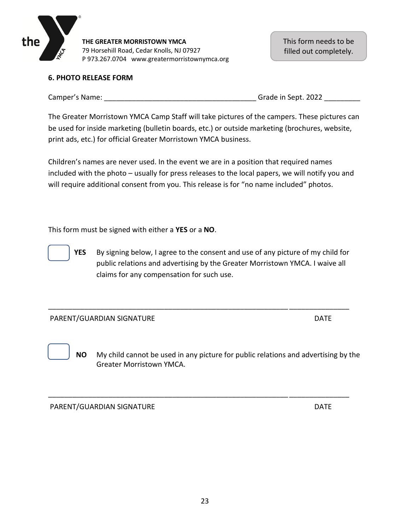

#### **6. PHOTO RELEASE FORM**

Camper's Name: The Camper's Name: The Camper's Name: The Camper's Name: The Camper's Name: The Campen of the C

The Greater Morristown YMCA Camp Staff will take pictures of the campers. These pictures can be used for inside marketing (bulletin boards, etc.) or outside marketing (brochures, website, print ads, etc.) for official Greater Morristown YMCA business.

Children's names are never used. In the event we are in a position that required names included with the photo – usually for press releases to the local papers, we will notify you and will require additional consent from you. This release is for "no name included" photos.

This form must be signed with either a **YES** or a **NO**.

**YES** By signing below, I agree to the consent and use of any picture of my child for public relations and advertising by the Greater Morristown YMCA. I waive all claims for any compensation for such use.

\_\_\_\_\_\_\_\_\_\_\_\_\_\_\_\_\_\_\_\_\_\_\_\_\_\_\_\_\_\_\_\_\_\_\_\_\_\_\_\_\_\_\_\_\_\_\_\_\_\_\_\_\_\_\_\_\_\_\_\_ \_\_\_\_\_\_\_\_\_\_\_\_\_\_\_

\_\_\_\_\_\_\_\_\_\_\_\_\_\_\_\_\_\_\_\_\_\_\_\_\_\_\_\_\_\_\_\_\_\_\_\_\_\_\_\_\_\_\_\_\_\_\_\_\_\_\_\_\_\_\_\_\_\_\_\_ \_\_\_\_\_\_\_\_\_\_\_\_\_\_\_

# PARENT/GUARDIAN SIGNATURE NATURE AND THE DATE

 **NO** My child cannot be used in any picture for public relations and advertising by the Greater Morristown YMCA.

PARENT/GUARDIAN SIGNATURE NATURE AND DATE